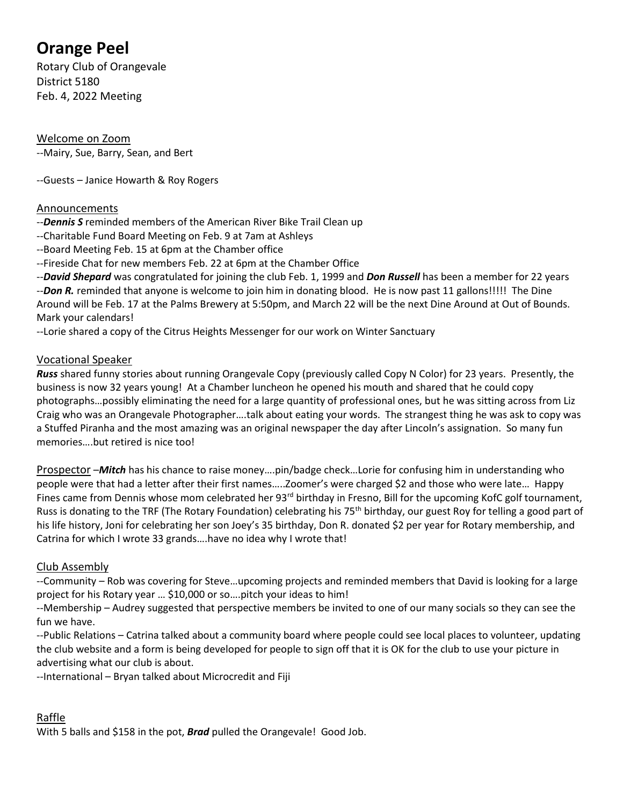# **Orange Peel**

Rotary Club of Orangevale District 5180 Feb. 4, 2022 Meeting

Welcome on Zoom --Mairy, Sue, Barry, Sean, and Bert

--Guests – Janice Howarth & Roy Rogers

#### Announcements

- --*Dennis S* reminded members of the American River Bike Trail Clean up
- --Charitable Fund Board Meeting on Feb. 9 at 7am at Ashleys
- --Board Meeting Feb. 15 at 6pm at the Chamber office
- --Fireside Chat for new members Feb. 22 at 6pm at the Chamber Office
- --*David Shepard* was congratulated for joining the club Feb. 1, 1999 and *Don Russell* has been a member for 22 years

--*Don R.* reminded that anyone is welcome to join him in donating blood. He is now past 11 gallons!!!!! The Dine Around will be Feb. 17 at the Palms Brewery at 5:50pm, and March 22 will be the next Dine Around at Out of Bounds. Mark your calendars!

--Lorie shared a copy of the Citrus Heights Messenger for our work on Winter Sanctuary

### Vocational Speaker

*Russ* shared funny stories about running Orangevale Copy (previously called Copy N Color) for 23 years. Presently, the business is now 32 years young! At a Chamber luncheon he opened his mouth and shared that he could copy photographs…possibly eliminating the need for a large quantity of professional ones, but he was sitting across from Liz Craig who was an Orangevale Photographer….talk about eating your words. The strangest thing he was ask to copy was a Stuffed Piranha and the most amazing was an original newspaper the day after Lincoln's assignation. So many fun memories….but retired is nice too!

Prospector –*Mitch* has his chance to raise money….pin/badge check…Lorie for confusing him in understanding who people were that had a letter after their first names…..Zoomer's were charged \$2 and those who were late… Happy Fines came from Dennis whose mom celebrated her 93<sup>rd</sup> birthday in Fresno, Bill for the upcoming KofC golf tournament, Russ is donating to the TRF (The Rotary Foundation) celebrating his 75<sup>th</sup> birthday, our guest Roy for telling a good part of his life history, Joni for celebrating her son Joey's 35 birthday, Don R. donated \$2 per year for Rotary membership, and Catrina for which I wrote 33 grands….have no idea why I wrote that!

### Club Assembly

--Community – Rob was covering for Steve…upcoming projects and reminded members that David is looking for a large project for his Rotary year … \$10,000 or so….pitch your ideas to him!

--Membership – Audrey suggested that perspective members be invited to one of our many socials so they can see the fun we have.

--Public Relations – Catrina talked about a community board where people could see local places to volunteer, updating the club website and a form is being developed for people to sign off that it is OK for the club to use your picture in advertising what our club is about.

--International – Bryan talked about Microcredit and Fiji

## Raffle

With 5 balls and \$158 in the pot, *Brad* pulled the Orangevale! Good Job.